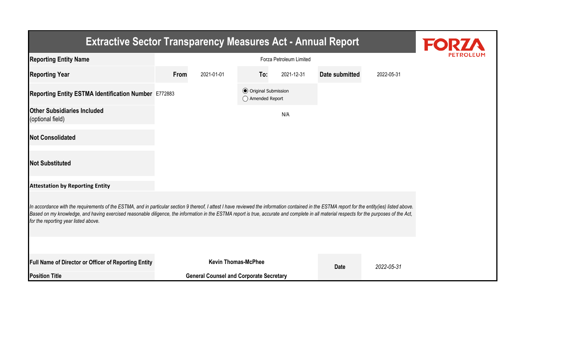| <b>Extractive Sector Transparency Measures Act - Annual Report</b>                                                                                                                                                                                                                                                                                                                                                                    |                                                |                            |                                                  |            |                |            |  |  |  |
|---------------------------------------------------------------------------------------------------------------------------------------------------------------------------------------------------------------------------------------------------------------------------------------------------------------------------------------------------------------------------------------------------------------------------------------|------------------------------------------------|----------------------------|--------------------------------------------------|------------|----------------|------------|--|--|--|
| <b>Reporting Entity Name</b>                                                                                                                                                                                                                                                                                                                                                                                                          |                                                |                            |                                                  |            |                |            |  |  |  |
| <b>Reporting Year</b>                                                                                                                                                                                                                                                                                                                                                                                                                 | From                                           | 2021-01-01                 | To:                                              | 2021-12-31 | Date submitted | 2022-05-31 |  |  |  |
| Reporting Entity ESTMA Identification Number E772883                                                                                                                                                                                                                                                                                                                                                                                  |                                                |                            | <b>◎</b> Original Submission<br>◯ Amended Report |            |                |            |  |  |  |
| <b>Other Subsidiaries Included</b><br>(optional field)                                                                                                                                                                                                                                                                                                                                                                                |                                                |                            |                                                  | N/A        |                |            |  |  |  |
| <b>Not Consolidated</b>                                                                                                                                                                                                                                                                                                                                                                                                               |                                                |                            |                                                  |            |                |            |  |  |  |
| <b>Not Substituted</b>                                                                                                                                                                                                                                                                                                                                                                                                                |                                                |                            |                                                  |            |                |            |  |  |  |
| <b>Attestation by Reporting Entity</b>                                                                                                                                                                                                                                                                                                                                                                                                |                                                |                            |                                                  |            |                |            |  |  |  |
| In accordance with the requirements of the ESTMA, and in particular section 9 thereof, I attest I have reviewed the information contained in the ESTMA report for the entity(ies) listed above.<br>Based on my knowledge, and having exercised reasonable diligence, the information in the ESTMA report is true, accurate and complete in all material respects for the purposes of the Act,<br>for the reporting year listed above. |                                                |                            |                                                  |            |                |            |  |  |  |
|                                                                                                                                                                                                                                                                                                                                                                                                                                       |                                                |                            |                                                  |            |                |            |  |  |  |
| Full Name of Director or Officer of Reporting Entity                                                                                                                                                                                                                                                                                                                                                                                  |                                                | <b>Kevin Thomas-McPhee</b> |                                                  |            | <b>Date</b>    | 2022-05-31 |  |  |  |
| <b>Position Title</b>                                                                                                                                                                                                                                                                                                                                                                                                                 | <b>General Counsel and Corporate Secretary</b> |                            |                                                  |            |                |            |  |  |  |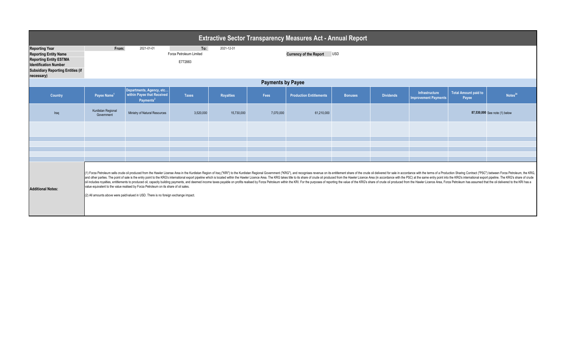| <b>Extractive Sector Transparency Measures Act - Annual Report</b>                                                                                                               |                                                                                                                                                                                                                                                                                                                                                                                                                                                                                                                                                                                                                                                                                                                                                                                                                                                                                  |                                                                                 |                                           |                  |                                             |                                |                |                  |                                                      |                                      |                               |  |
|----------------------------------------------------------------------------------------------------------------------------------------------------------------------------------|----------------------------------------------------------------------------------------------------------------------------------------------------------------------------------------------------------------------------------------------------------------------------------------------------------------------------------------------------------------------------------------------------------------------------------------------------------------------------------------------------------------------------------------------------------------------------------------------------------------------------------------------------------------------------------------------------------------------------------------------------------------------------------------------------------------------------------------------------------------------------------|---------------------------------------------------------------------------------|-------------------------------------------|------------------|---------------------------------------------|--------------------------------|----------------|------------------|------------------------------------------------------|--------------------------------------|-------------------------------|--|
| <b>Reporting Year</b><br><b>Reporting Entity Name</b><br><b>Reporting Entity ESTMA</b><br><b>Identification Number</b><br><b>Subsidiary Reporting Entities (if</b><br>necessary) | From:                                                                                                                                                                                                                                                                                                                                                                                                                                                                                                                                                                                                                                                                                                                                                                                                                                                                            | 2021-01-01                                                                      | To:<br>Forza Petroleum Limited<br>E772883 | 2021-12-31       | <b>Currency of the Report</b><br><b>USD</b> |                                |                |                  |                                                      |                                      |                               |  |
|                                                                                                                                                                                  | <b>Payments by Payee</b>                                                                                                                                                                                                                                                                                                                                                                                                                                                                                                                                                                                                                                                                                                                                                                                                                                                         |                                                                                 |                                           |                  |                                             |                                |                |                  |                                                      |                                      |                               |  |
| Country                                                                                                                                                                          | Payee Name <sup>1</sup>                                                                                                                                                                                                                                                                                                                                                                                                                                                                                                                                                                                                                                                                                                                                                                                                                                                          | Departments, Agency, etc<br>within Payee that Received<br>Payments <sup>2</sup> | <b>Taxes</b>                              | <b>Royalties</b> | Fees                                        | <b>Production Entitlements</b> | <b>Bonuses</b> | <b>Dividends</b> | <b>Infrastructure</b><br><b>Improvement Payments</b> | <b>Total Amount paid to</b><br>Payee | Notes <sup>34</sup>           |  |
| Iraq                                                                                                                                                                             | Kurdistan Regional<br>Government                                                                                                                                                                                                                                                                                                                                                                                                                                                                                                                                                                                                                                                                                                                                                                                                                                                 | Ministry of Natural Resources                                                   | 3,520,000                                 | 15,730,000       | 7,070,000                                   | 61,210,000                     |                |                  |                                                      |                                      | 87,530,000 See note (1) below |  |
|                                                                                                                                                                                  |                                                                                                                                                                                                                                                                                                                                                                                                                                                                                                                                                                                                                                                                                                                                                                                                                                                                                  |                                                                                 |                                           |                  |                                             |                                |                |                  |                                                      |                                      |                               |  |
|                                                                                                                                                                                  |                                                                                                                                                                                                                                                                                                                                                                                                                                                                                                                                                                                                                                                                                                                                                                                                                                                                                  |                                                                                 |                                           |                  |                                             |                                |                |                  |                                                      |                                      |                               |  |
|                                                                                                                                                                                  |                                                                                                                                                                                                                                                                                                                                                                                                                                                                                                                                                                                                                                                                                                                                                                                                                                                                                  |                                                                                 |                                           |                  |                                             |                                |                |                  |                                                      |                                      |                               |  |
|                                                                                                                                                                                  |                                                                                                                                                                                                                                                                                                                                                                                                                                                                                                                                                                                                                                                                                                                                                                                                                                                                                  |                                                                                 |                                           |                  |                                             |                                |                |                  |                                                      |                                      |                               |  |
| <b>Additional Notes:</b>                                                                                                                                                         | (1) Forza Petroleum sells crude oil produced from the Hawler License Area in the Kurdistan Region of Iraq ("KRI") to the Kurdistan Regional Government ("KRG"), and recognises revenue on its entitlement share of the crude o<br>and other parties. The point of sale is the entry point to the KRG's international export pipeline which is located within the Hawler Licence Area. The KRG takes title to its share of crude oil produced from the Hawler Lic<br>oil includes royalties, entitlements to produced oil, capacity building payments, and deemed income taxes payable on profits realised by Forza Petroleum within the KRI. For the purposes of reporting the value of the KRG's<br>value equivalent to the value realised by Forza Petroleum on its share of oil sales.<br>(2) All amounts above were paid/valued in USD. There is no foreign exchange impact. |                                                                                 |                                           |                  |                                             |                                |                |                  |                                                      |                                      |                               |  |